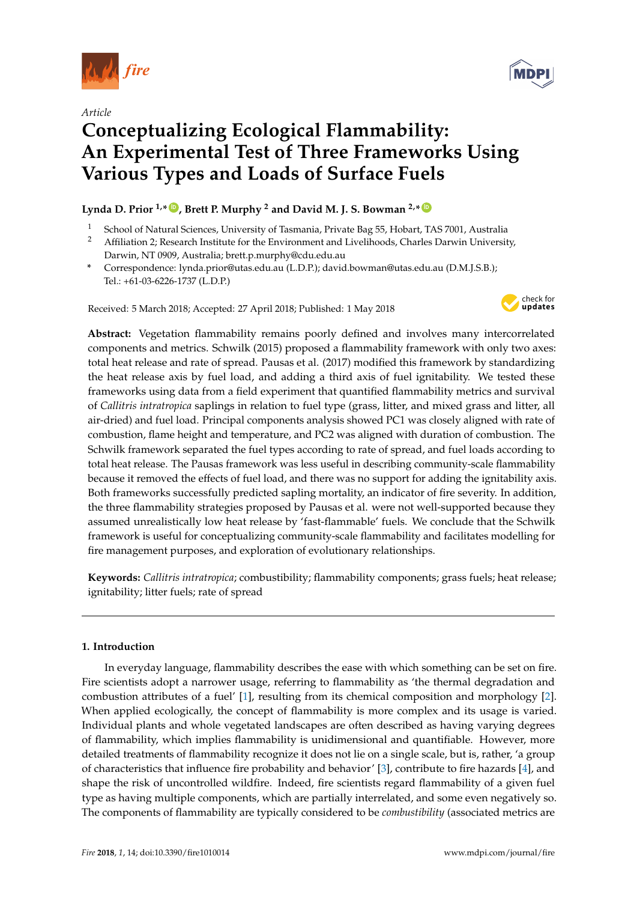

*Article*



# **Conceptualizing Ecological Flammability: An Experimental Test of Three Frameworks Using Various Types and Loads of Surface Fuels**

## $L$ ynda D. Prior <sup>1,</sup>\*  $\bullet$  , Brett P. Murphy <sup>2</sup> and David M. J. S. Bowman <sup>2,</sup>\*  $\bullet$

- <sup>1</sup> School of Natural Sciences, University of Tasmania, Private Bag 55, Hobart, TAS 7001, Australia<br><sup>2</sup> Affiliation 2: Research Institute for the Environment and Livelihoods. Charles Darwin University
- <sup>2</sup> Affiliation 2; Research Institute for the Environment and Livelihoods, Charles Darwin University, Darwin, NT 0909, Australia; brett.p.murphy@cdu.edu.au
- **\*** Correspondence: lynda.prior@utas.edu.au (L.D.P.); david.bowman@utas.edu.au (D.M.J.S.B.); Tel.: +61-03-6226-1737 (L.D.P.)

Received: 5 March 2018; Accepted: 27 April 2018; Published: 1 May 2018



**Abstract:** Vegetation flammability remains poorly defined and involves many intercorrelated components and metrics. Schwilk (2015) proposed a flammability framework with only two axes: total heat release and rate of spread. Pausas et al. (2017) modified this framework by standardizing the heat release axis by fuel load, and adding a third axis of fuel ignitability. We tested these frameworks using data from a field experiment that quantified flammability metrics and survival of *Callitris intratropica* saplings in relation to fuel type (grass, litter, and mixed grass and litter, all air-dried) and fuel load. Principal components analysis showed PC1 was closely aligned with rate of combustion, flame height and temperature, and PC2 was aligned with duration of combustion. The Schwilk framework separated the fuel types according to rate of spread, and fuel loads according to total heat release. The Pausas framework was less useful in describing community-scale flammability because it removed the effects of fuel load, and there was no support for adding the ignitability axis. Both frameworks successfully predicted sapling mortality, an indicator of fire severity. In addition, the three flammability strategies proposed by Pausas et al. were not well-supported because they assumed unrealistically low heat release by 'fast-flammable' fuels. We conclude that the Schwilk framework is useful for conceptualizing community-scale flammability and facilitates modelling for fire management purposes, and exploration of evolutionary relationships.

**Keywords:** *Callitris intratropica*; combustibility; flammability components; grass fuels; heat release; ignitability; litter fuels; rate of spread

## **1. Introduction**

In everyday language, flammability describes the ease with which something can be set on fire. Fire scientists adopt a narrower usage, referring to flammability as 'the thermal degradation and combustion attributes of a fuel' [\[1\]](#page-15-0), resulting from its chemical composition and morphology [\[2\]](#page-15-1). When applied ecologically, the concept of flammability is more complex and its usage is varied. Individual plants and whole vegetated landscapes are often described as having varying degrees of flammability, which implies flammability is unidimensional and quantifiable. However, more detailed treatments of flammability recognize it does not lie on a single scale, but is, rather, 'a group of characteristics that influence fire probability and behavior' [\[3\]](#page-15-2), contribute to fire hazards [\[4\]](#page-15-3), and shape the risk of uncontrolled wildfire. Indeed, fire scientists regard flammability of a given fuel type as having multiple components, which are partially interrelated, and some even negatively so. The components of flammability are typically considered to be *combustibility* (associated metrics are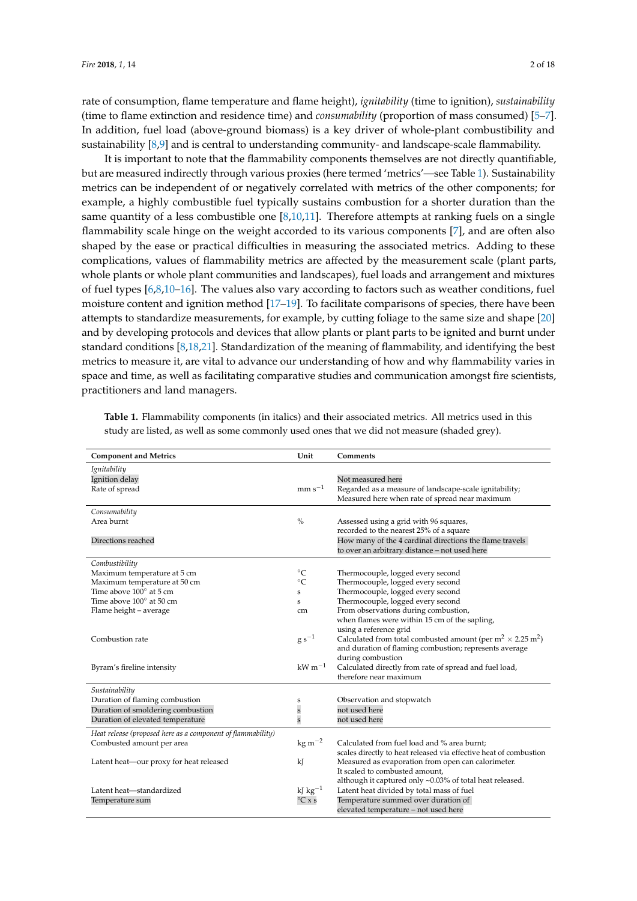rate of consumption, flame temperature and flame height), *ignitability* (time to ignition), *sustainability* (time to flame extinction and residence time) and *consumability* (proportion of mass consumed) [\[5–](#page-15-4)[7\]](#page-15-5). In addition, fuel load (above-ground biomass) is a key driver of whole-plant combustibility and sustainability [\[8,](#page-15-6)[9\]](#page-15-7) and is central to understanding community- and landscape-scale flammability.

It is important to note that the flammability components themselves are not directly quantifiable, but are measured indirectly through various proxies (here termed 'metrics'—see Table [1\)](#page-1-0). Sustainability metrics can be independent of or negatively correlated with metrics of the other components; for example, a highly combustible fuel typically sustains combustion for a shorter duration than the same quantity of a less combustible one  $[8,10,11]$  $[8,10,11]$  $[8,10,11]$ . Therefore attempts at ranking fuels on a single flammability scale hinge on the weight accorded to its various components [\[7\]](#page-15-5), and are often also shaped by the ease or practical difficulties in measuring the associated metrics. Adding to these complications, values of flammability metrics are affected by the measurement scale (plant parts, whole plants or whole plant communities and landscapes), fuel loads and arrangement and mixtures of fuel types [\[6](#page-15-10)[,8](#page-15-6)[,10](#page-15-8)[–16\]](#page-16-0). The values also vary according to factors such as weather conditions, fuel moisture content and ignition method [\[17](#page-16-1)[–19\]](#page-16-2). To facilitate comparisons of species, there have been attempts to standardize measurements, for example, by cutting foliage to the same size and shape [\[20\]](#page-16-3) and by developing protocols and devices that allow plants or plant parts to be ignited and burnt under standard conditions [\[8](#page-15-6)[,18](#page-16-4)[,21\]](#page-16-5). Standardization of the meaning of flammability, and identifying the best metrics to measure it, are vital to advance our understanding of how and why flammability varies in space and time, as well as facilitating comparative studies and communication amongst fire scientists, practitioners and land managers.

| <b>Component and Metrics</b>                                | Unit                           | Comments                                                                         |
|-------------------------------------------------------------|--------------------------------|----------------------------------------------------------------------------------|
| Ignitability                                                |                                |                                                                                  |
| Ignition delay                                              |                                | Not measured here                                                                |
| Rate of spread                                              | $mm s^{-1}$                    | Regarded as a measure of landscape-scale ignitability;                           |
|                                                             |                                | Measured here when rate of spread near maximum                                   |
| Consumability                                               |                                |                                                                                  |
| Area burnt                                                  | $\frac{0}{0}$                  | Assessed using a grid with 96 squares,                                           |
|                                                             |                                | recorded to the nearest 25% of a square                                          |
| Directions reached                                          |                                | How many of the 4 cardinal directions the flame travels                          |
|                                                             |                                | to over an arbitrary distance - not used here                                    |
| Combustibility                                              |                                |                                                                                  |
| Maximum temperature at 5 cm                                 | $^{\circ}C$                    | Thermocouple, logged every second                                                |
| Maximum temperature at 50 cm                                | $\circ$ C                      | Thermocouple, logged every second                                                |
| Time above 100° at 5 cm                                     | S                              | Thermocouple, logged every second                                                |
| Time above 100° at 50 cm                                    | s                              | Thermocouple, logged every second                                                |
| Flame height - average                                      | cm                             | From observations during combustion,                                             |
|                                                             |                                | when flames were within 15 cm of the sapling,                                    |
|                                                             |                                | using a reference grid                                                           |
| Combustion rate                                             | $g s^{-1}$                     | Calculated from total combusted amount (per $m^2 \times 2.25$ m <sup>2</sup> )   |
|                                                             |                                | and duration of flaming combustion; represents average                           |
|                                                             |                                | during combustion                                                                |
| Byram's fireline intensity                                  | $\mathrm{kW\,m^{-1}}$          | Calculated directly from rate of spread and fuel load,<br>therefore near maximum |
|                                                             |                                |                                                                                  |
| Sustainability                                              |                                |                                                                                  |
| Duration of flaming combustion                              | S                              | Observation and stopwatch                                                        |
| Duration of smoldering combustion                           | $\mathbf{s}$                   | not used here                                                                    |
| Duration of elevated temperature                            | s                              | not used here                                                                    |
| Heat release (proposed here as a component of flammability) |                                |                                                                                  |
| Combusted amount per area                                   | $\text{kg m}^{-2}$             | Calculated from fuel load and % area burnt;                                      |
|                                                             |                                | scales directly to heat released via effective heat of combustion                |
| Latent heat-our proxy for heat released                     | kJ                             | Measured as evaporation from open can calorimeter.                               |
|                                                             |                                | It scaled to combusted amount.                                                   |
|                                                             |                                | although it captured only ~0.03% of total heat released.                         |
| Latent heat-standardized                                    | kJ $kg^{-1}$                   | Latent heat divided by total mass of fuel                                        |
| Temperature sum                                             | $\mathrm{C} \times \mathrm{s}$ | Temperature summed over duration of                                              |
|                                                             |                                | elevated temperature - not used here                                             |

<span id="page-1-0"></span>**Table 1.** Flammability components (in italics) and their associated metrics. All metrics used in this study are listed, as well as some commonly used ones that we did not measure (shaded grey).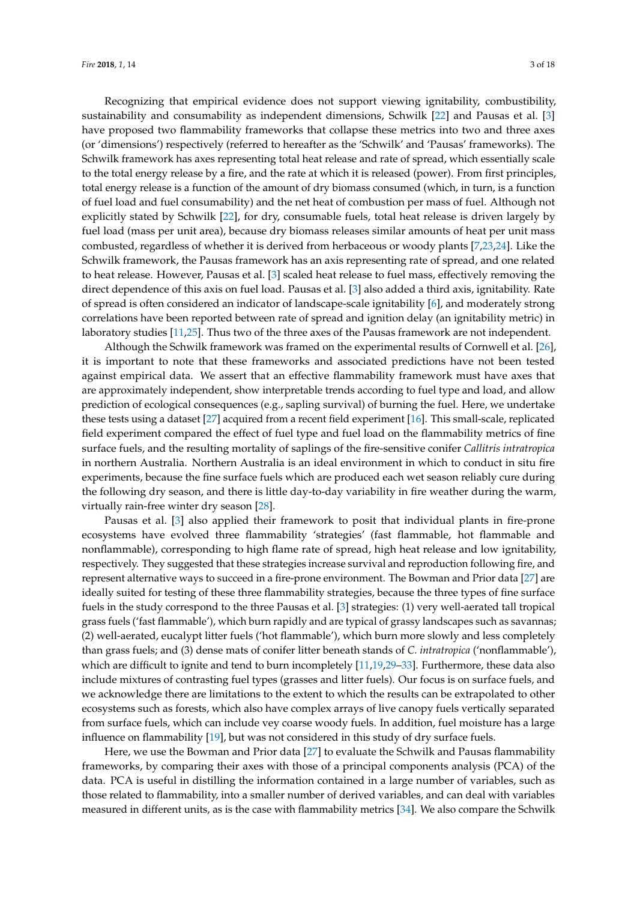Recognizing that empirical evidence does not support viewing ignitability, combustibility, sustainability and consumability as independent dimensions, Schwilk [\[22\]](#page-16-6) and Pausas et al. [\[3\]](#page-15-2) have proposed two flammability frameworks that collapse these metrics into two and three axes (or 'dimensions') respectively (referred to hereafter as the 'Schwilk' and 'Pausas' frameworks). The Schwilk framework has axes representing total heat release and rate of spread, which essentially scale to the total energy release by a fire, and the rate at which it is released (power). From first principles, total energy release is a function of the amount of dry biomass consumed (which, in turn, is a function of fuel load and fuel consumability) and the net heat of combustion per mass of fuel. Although not explicitly stated by Schwilk [\[22\]](#page-16-6), for dry, consumable fuels, total heat release is driven largely by fuel load (mass per unit area), because dry biomass releases similar amounts of heat per unit mass combusted, regardless of whether it is derived from herbaceous or woody plants [\[7](#page-15-5)[,23,](#page-16-7)[24\]](#page-16-8). Like the Schwilk framework, the Pausas framework has an axis representing rate of spread, and one related to heat release. However, Pausas et al. [\[3\]](#page-15-2) scaled heat release to fuel mass, effectively removing the direct dependence of this axis on fuel load. Pausas et al. [\[3\]](#page-15-2) also added a third axis, ignitability. Rate of spread is often considered an indicator of landscape-scale ignitability [\[6\]](#page-15-10), and moderately strong correlations have been reported between rate of spread and ignition delay (an ignitability metric) in laboratory studies [\[11,](#page-15-9)[25\]](#page-16-9). Thus two of the three axes of the Pausas framework are not independent.

Although the Schwilk framework was framed on the experimental results of Cornwell et al. [\[26\]](#page-16-10), it is important to note that these frameworks and associated predictions have not been tested against empirical data. We assert that an effective flammability framework must have axes that are approximately independent, show interpretable trends according to fuel type and load, and allow prediction of ecological consequences (e.g., sapling survival) of burning the fuel. Here, we undertake these tests using a dataset [\[27\]](#page-16-11) acquired from a recent field experiment [\[16\]](#page-16-0). This small-scale, replicated field experiment compared the effect of fuel type and fuel load on the flammability metrics of fine surface fuels, and the resulting mortality of saplings of the fire-sensitive conifer *Callitris intratropica* in northern Australia. Northern Australia is an ideal environment in which to conduct in situ fire experiments, because the fine surface fuels which are produced each wet season reliably cure during the following dry season, and there is little day-to-day variability in fire weather during the warm, virtually rain-free winter dry season [\[28\]](#page-16-12).

Pausas et al. [\[3\]](#page-15-2) also applied their framework to posit that individual plants in fire-prone ecosystems have evolved three flammability 'strategies' (fast flammable, hot flammable and nonflammable), corresponding to high flame rate of spread, high heat release and low ignitability, respectively. They suggested that these strategies increase survival and reproduction following fire, and represent alternative ways to succeed in a fire-prone environment. The Bowman and Prior data [\[27\]](#page-16-11) are ideally suited for testing of these three flammability strategies, because the three types of fine surface fuels in the study correspond to the three Pausas et al. [\[3\]](#page-15-2) strategies: (1) very well-aerated tall tropical grass fuels ('fast flammable'), which burn rapidly and are typical of grassy landscapes such as savannas; (2) well-aerated, eucalypt litter fuels ('hot flammable'), which burn more slowly and less completely than grass fuels; and (3) dense mats of conifer litter beneath stands of *C. intratropica* ('nonflammable'), which are difficult to ignite and tend to burn incompletely [\[11,](#page-15-9)[19,](#page-16-2)[29](#page-16-13)[–33\]](#page-16-14). Furthermore, these data also include mixtures of contrasting fuel types (grasses and litter fuels). Our focus is on surface fuels, and we acknowledge there are limitations to the extent to which the results can be extrapolated to other ecosystems such as forests, which also have complex arrays of live canopy fuels vertically separated from surface fuels, which can include vey coarse woody fuels. In addition, fuel moisture has a large influence on flammability [\[19\]](#page-16-2), but was not considered in this study of dry surface fuels.

Here, we use the Bowman and Prior data [\[27\]](#page-16-11) to evaluate the Schwilk and Pausas flammability frameworks, by comparing their axes with those of a principal components analysis (PCA) of the data. PCA is useful in distilling the information contained in a large number of variables, such as those related to flammability, into a smaller number of derived variables, and can deal with variables measured in different units, as is the case with flammability metrics [\[34\]](#page-16-15). We also compare the Schwilk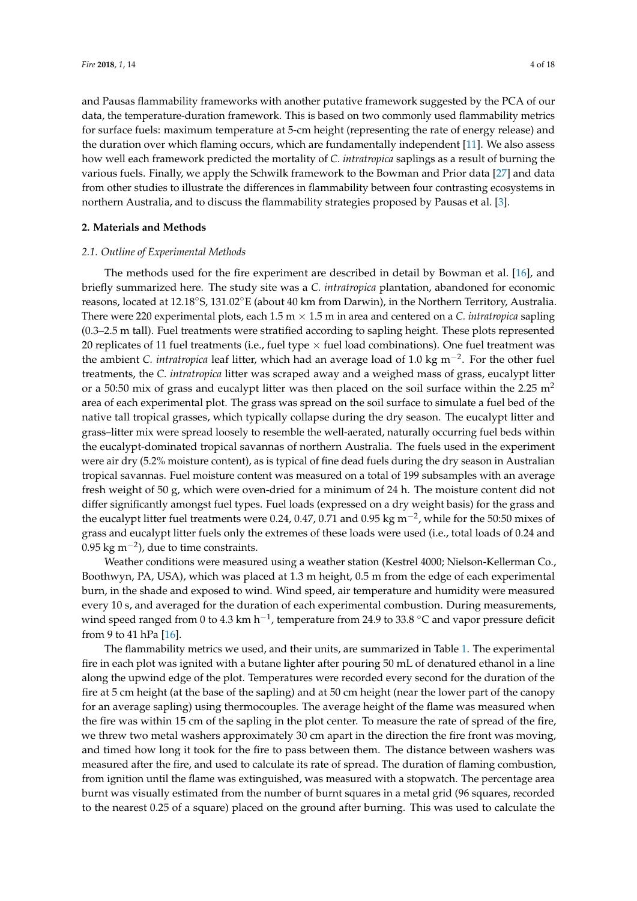and Pausas flammability frameworks with another putative framework suggested by the PCA of our data, the temperature-duration framework. This is based on two commonly used flammability metrics for surface fuels: maximum temperature at 5-cm height (representing the rate of energy release) and the duration over which flaming occurs, which are fundamentally independent [\[11\]](#page-15-9). We also assess how well each framework predicted the mortality of *C. intratropica* saplings as a result of burning the various fuels. Finally, we apply the Schwilk framework to the Bowman and Prior data [\[27\]](#page-16-11) and data from other studies to illustrate the differences in flammability between four contrasting ecosystems in northern Australia, and to discuss the flammability strategies proposed by Pausas et al. [\[3\]](#page-15-2).

#### **2. Materials and Methods**

#### *2.1. Outline of Experimental Methods*

The methods used for the fire experiment are described in detail by Bowman et al. [\[16\]](#page-16-0), and briefly summarized here. The study site was a *C. intratropica* plantation, abandoned for economic reasons, located at 12.18◦S, 131.02◦E (about 40 km from Darwin), in the Northern Territory, Australia. There were 220 experimental plots, each  $1.5 \text{ m} \times 1.5 \text{ m}$  in area and centered on a *C. intratropica* sapling (0.3–2.5 m tall). Fuel treatments were stratified according to sapling height. These plots represented 20 replicates of 11 fuel treatments (i.e., fuel type  $\times$  fuel load combinations). One fuel treatment was the ambient *C. intratropica* leaf litter, which had an average load of 1.0 kg m−<sup>2</sup> . For the other fuel treatments, the *C. intratropica* litter was scraped away and a weighed mass of grass, eucalypt litter or a 50:50 mix of grass and eucalypt litter was then placed on the soil surface within the 2.25  $m<sup>2</sup>$ area of each experimental plot. The grass was spread on the soil surface to simulate a fuel bed of the native tall tropical grasses, which typically collapse during the dry season. The eucalypt litter and grass–litter mix were spread loosely to resemble the well-aerated, naturally occurring fuel beds within the eucalypt-dominated tropical savannas of northern Australia. The fuels used in the experiment were air dry (5.2% moisture content), as is typical of fine dead fuels during the dry season in Australian tropical savannas. Fuel moisture content was measured on a total of 199 subsamples with an average fresh weight of 50 g, which were oven-dried for a minimum of 24 h. The moisture content did not differ significantly amongst fuel types. Fuel loads (expressed on a dry weight basis) for the grass and the eucalypt litter fuel treatments were 0.24, 0.47, 0.71 and 0.95 kg m<sup>-2</sup>, while for the 50:50 mixes of grass and eucalypt litter fuels only the extremes of these loads were used (i.e., total loads of 0.24 and 0.95 kg m<sup>-2</sup>), due to time constraints.

Weather conditions were measured using a weather station (Kestrel 4000; Nielson-Kellerman Co., Boothwyn, PA, USA), which was placed at 1.3 m height, 0.5 m from the edge of each experimental burn, in the shade and exposed to wind. Wind speed, air temperature and humidity were measured every 10 s, and averaged for the duration of each experimental combustion. During measurements, wind speed ranged from 0 to 4.3 km h<sup>-1</sup>, temperature from 24.9 to 33.8 °C and vapor pressure deficit from 9 to 41 hPa [\[16\]](#page-16-0).

The flammability metrics we used, and their units, are summarized in Table [1.](#page-1-0) The experimental fire in each plot was ignited with a butane lighter after pouring 50 mL of denatured ethanol in a line along the upwind edge of the plot. Temperatures were recorded every second for the duration of the fire at 5 cm height (at the base of the sapling) and at 50 cm height (near the lower part of the canopy for an average sapling) using thermocouples. The average height of the flame was measured when the fire was within 15 cm of the sapling in the plot center. To measure the rate of spread of the fire, we threw two metal washers approximately 30 cm apart in the direction the fire front was moving, and timed how long it took for the fire to pass between them. The distance between washers was measured after the fire, and used to calculate its rate of spread. The duration of flaming combustion, from ignition until the flame was extinguished, was measured with a stopwatch. The percentage area burnt was visually estimated from the number of burnt squares in a metal grid (96 squares, recorded to the nearest 0.25 of a square) placed on the ground after burning. This was used to calculate the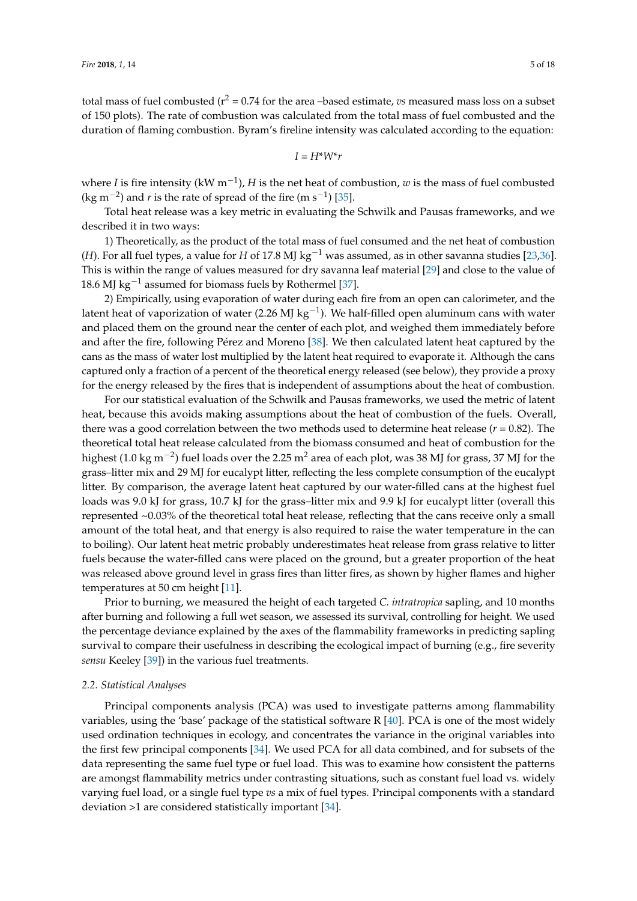total mass of fuel combusted ( $r^2$  = 0.74 for the area –based estimate, *vs* measured mass loss on a subset of 150 plots). The rate of combustion was calculated from the total mass of fuel combusted and the duration of flaming combustion. Byram's fireline intensity was calculated according to the equation:

 $I = H^*W^*r$ 

where *I* is fire intensity (kW m−<sup>1</sup> ), *H* is the net heat of combustion, *w* is the mass of fuel combusted (kg m<sup>-2</sup>) and *r* is the rate of spread of the fire (m s<sup>-1</sup>) [\[35\]](#page-16-16).

Total heat release was a key metric in evaluating the Schwilk and Pausas frameworks, and we described it in two ways:

1) Theoretically, as the product of the total mass of fuel consumed and the net heat of combustion (*H*). For all fuel types, a value for *H* of 17.8 MJ kg−<sup>1</sup> was assumed, as in other savanna studies [\[23](#page-16-7)[,36\]](#page-16-17). This is within the range of values measured for dry savanna leaf material [\[29\]](#page-16-13) and close to the value of 18.6 MJ kg<sup>-1</sup> assumed for biomass fuels by Rothermel [\[37\]](#page-16-18).

2) Empirically, using evaporation of water during each fire from an open can calorimeter, and the latent heat of vaporization of water (2.26 MJ kg<sup>-1</sup>). We half-filled open aluminum cans with water and placed them on the ground near the center of each plot, and weighed them immediately before and after the fire, following Pérez and Moreno [\[38\]](#page-17-0). We then calculated latent heat captured by the cans as the mass of water lost multiplied by the latent heat required to evaporate it. Although the cans captured only a fraction of a percent of the theoretical energy released (see below), they provide a proxy for the energy released by the fires that is independent of assumptions about the heat of combustion.

For our statistical evaluation of the Schwilk and Pausas frameworks, we used the metric of latent heat, because this avoids making assumptions about the heat of combustion of the fuels. Overall, there was a good correlation between the two methods used to determine heat release  $(r = 0.82)$ . The theoretical total heat release calculated from the biomass consumed and heat of combustion for the highest (1.0 kg m $^{-2}$ ) fuel loads over the 2.25 m $^2$  area of each plot, was 38 MJ for grass, 37 MJ for the grass–litter mix and 29 MJ for eucalypt litter, reflecting the less complete consumption of the eucalypt litter. By comparison, the average latent heat captured by our water-filled cans at the highest fuel loads was 9.0 kJ for grass, 10.7 kJ for the grass–litter mix and 9.9 kJ for eucalypt litter (overall this represented ~0.03% of the theoretical total heat release, reflecting that the cans receive only a small amount of the total heat, and that energy is also required to raise the water temperature in the can to boiling). Our latent heat metric probably underestimates heat release from grass relative to litter fuels because the water-filled cans were placed on the ground, but a greater proportion of the heat was released above ground level in grass fires than litter fires, as shown by higher flames and higher temperatures at 50 cm height [\[11\]](#page-15-9).

Prior to burning, we measured the height of each targeted *C. intratropica* sapling, and 10 months after burning and following a full wet season, we assessed its survival, controlling for height. We used the percentage deviance explained by the axes of the flammability frameworks in predicting sapling survival to compare their usefulness in describing the ecological impact of burning (e.g., fire severity *sensu* Keeley [\[39\]](#page-17-1)) in the various fuel treatments.

#### *2.2. Statistical Analyses*

Principal components analysis (PCA) was used to investigate patterns among flammability variables, using the 'base' package of the statistical software R  $[40]$ . PCA is one of the most widely used ordination techniques in ecology, and concentrates the variance in the original variables into the first few principal components [\[34\]](#page-16-15). We used PCA for all data combined, and for subsets of the data representing the same fuel type or fuel load. This was to examine how consistent the patterns are amongst flammability metrics under contrasting situations, such as constant fuel load vs. widely varying fuel load, or a single fuel type *vs* a mix of fuel types. Principal components with a standard deviation >1 are considered statistically important [\[34\]](#page-16-15).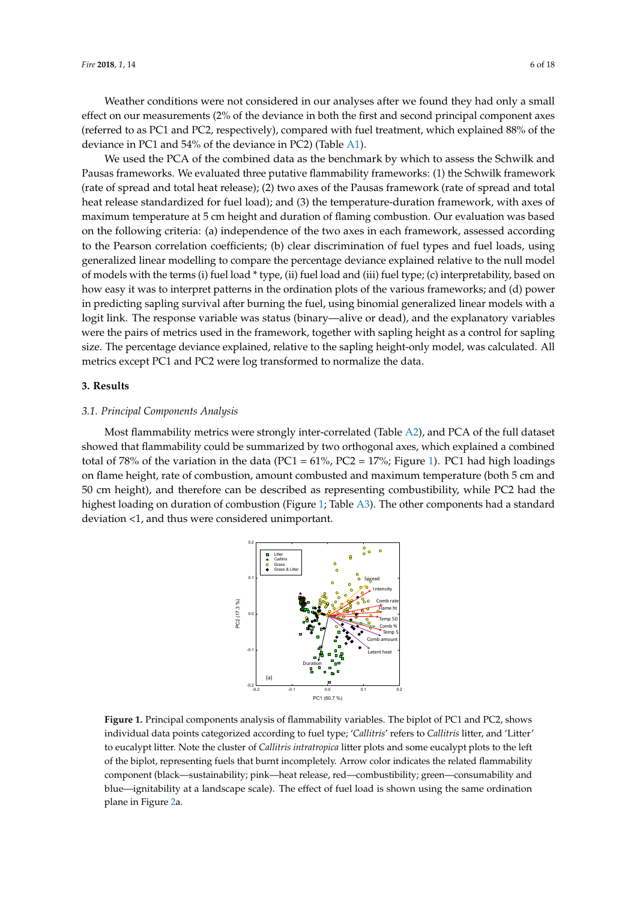Weather conditions were not considered in our analyses after we found they had only a small effect on our measurements (2% of the deviance in both the first and second principal component axes (referred to as PC1 and PC2, respectively), compared with fuel treatment, which explained 88% of the deviance in PC1 and 54% of the deviance in PC2) (Table [A1\)](#page-13-0).

We used the PCA of the combined data as the benchmark by which to assess the Schwilk and Pausas frameworks. We evaluated three putative flammability frameworks: (1) the Schwilk framework (rate of spread and total heat release); (2) two axes of the Pausas framework (rate of spread and total heat release standardized for fuel load); and (3) the temperature-duration framework, with axes of maximum temperature at 5 cm height and duration of flaming combustion. Our evaluation was based on the following criteria: (a) independence of the two axes in each framework, assessed according to the Pearson correlation coefficients; (b) clear discrimination of fuel types and fuel loads, using generalized linear modelling to compare the percentage deviance explained relative to the null model of models with the terms (i) fuel load \* type, (ii) fuel load and (iii) fuel type; (c) interpretability, based on how easy it was to interpret patterns in the ordination plots of the various frameworks; and (d) power in predicting sapling survival after burning the fuel, using binomial generalized linear models with a logit link. The response variable was status (binary—alive or dead), and the explanatory variables were the pairs of metrics used in the framework, together with sapling height as a control for sapling size. The percentage deviance explained, relative to the sapling height-only model, was calculated. All metrics except PC1 and PC2 were log transformed to normalize the data. framework (rate of spread and the participation of the Pypes and Taer Town us sapility survival arter burning the ruel, using binomial generalized finear flour ept i Crana i C2 were tog transformed to normalize the data.

#### **3. Results**

#### 3.1. Principal Components Analysis

<span id="page-5-0"></span>Most flammability metrics were strongly inter-correlated (Table [A2\)](#page-14-0), and PCA of the full dataset *3.1. Principal Components Analysis*  showed that flammability could be summarized by two orthogonal axes, which explained a combined total of 78% of the variation in the data (PC1 = 61%, PC2 = 17%; Figure [1\)](#page-5-0). PC1 had high loadings on flame height, rate of combustion, amount combusted and maximum temperature (both 5 cm and 50 cm height), and therefore can be described as representing combustibility, while PC2 had the highest loading on duration of combustion (Figure [1;](#page-5-0) Table [A3\)](#page-15-11). The other components had a standard deviation <1, and thus were considered unimportant. 5 cm and 50 cm height), and therefore can be described as representing combustibility, while PC2



**Figure 1.** Principal components analysis of flammability variables. The biplot of PC1 and PC2, shows **Figure 1.** Principal components analysis of flammability variables. The biplot of PC1 and PC2, shows individual data points categorized according to fuel type; '*Callitris'* refers to *Callitris* litter, and 'Litter' to individual data points categorized according to fuel type; 'C*allitris*' refers to C*allitris* litter, and 'Litter' to eucalypt litter. Note the cluster of *Callitris intratropica* litter plots and some eucalypt plots to the left of the biplot, representing fuels that burnt incompletely. Arrow color indicates the related flammability component (black—sustainability; pink—heat release, red—combustibility; green—consumability and blue—ignitability at a landscape scale). The effect of fuel load is shown using the same ordination plane in Figure [2a](#page-6-0).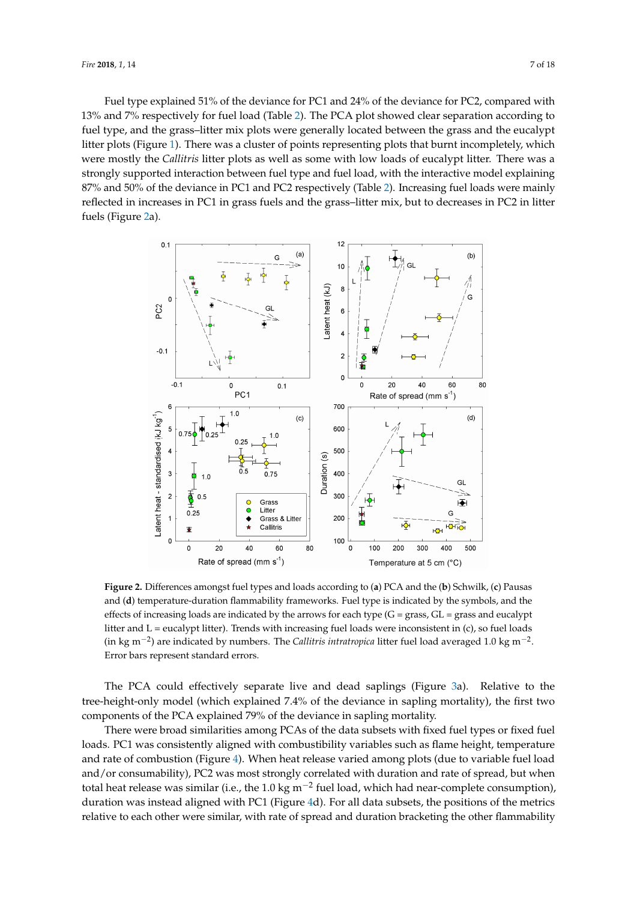Fuel type explained 51% of the deviance for PC1 and 24% of the deviance for PC2, compared with 13% and 7% respectively for fuel load (Table [2\)](#page-9-0). The PCA plot showed clear separation according to fuel type, and the grass–litter mix plots were generally located between the grass and the eucalypt litter plots (Figure [1\)](#page-5-0). There was a cluster of points representing plots that burnt incompletely, which were mostly the *Callitris* litter plots as well as some with low loads of eucalypt litter. There was a strongly supported interaction between fuel type and fuel load, with the interactive model explaining  $87\%$  and  $50\%$  of the deviance in PC1 and PC2 respectively (Table [2\)](#page-9-0). Increasing fuel loads were mainly reflected in increases in PC1 in grass fuels and the grass–litter mix, but to decreases in PC2 in litter fuels (Figure [2a](#page-6-0)).  $\overline{\phantom{a}}$ were mostly the *Callitris* litter plots as well as some with low loads of eucalypt litter. There was a

<span id="page-6-0"></span>

Figure 2. Differences amongst fuel types and loads according to (a) PCA and the (b) Schwilk, (c) Pausas and (**d**) temperature-duration flammability frameworks. Fuel type is indicated by the symbols, and the effects of increasing loads are indicated by the arrows for each type  $(G = grass, GL = grass)$  and eucalypt litter and L = eucalypt litter). Trends with increasing fuel loads were inconsistent in (c), so fuel loads inconsistent in (c), so fuel loads (in kg m<sup>−</sup>2) are indicated by numbers. The *Callitris intratropica* litter (in kg m<sup>−2</sup>) are indicated by numbers. The *Callitris intratropica* litter fuel load averaged 1.0 kg m<sup>−2</sup>. Error bars represent standard errors.

The PCA could effectively separate live and dead saplings (Figure [3a](#page-7-0)). Relative to the components of the PCA explained  $740^\circ$  of the deviance in sap tree-height-only model (which explained 7.4% of the deviance in sapling mortality), the first two components of the PCA explained 79% of the deviance in sapling mortality.

There were broad similarities among PCAs of the data subsets with fixed fuel types or fixed fuel loads. PC1 was consistently aligned with combustibility variables such as flame height, temperature and rate of combustion (Figure [4\)](#page-8-0). When heat release varied among plots (due to variable fuel load and/or consumability), PC2 was most strongly correlated with duration and rate of spread, but when total heat release was similar (i.e., the 1.0 kg m<sup>-2</sup> fuel load, which had near-complete consumption), duration was instead aligned with PC1 (Figure [4d](#page-8-0)). For all data subsets, the positions of the metrics relative to each other were similar, with rate of spread and duration bracketing the other flammability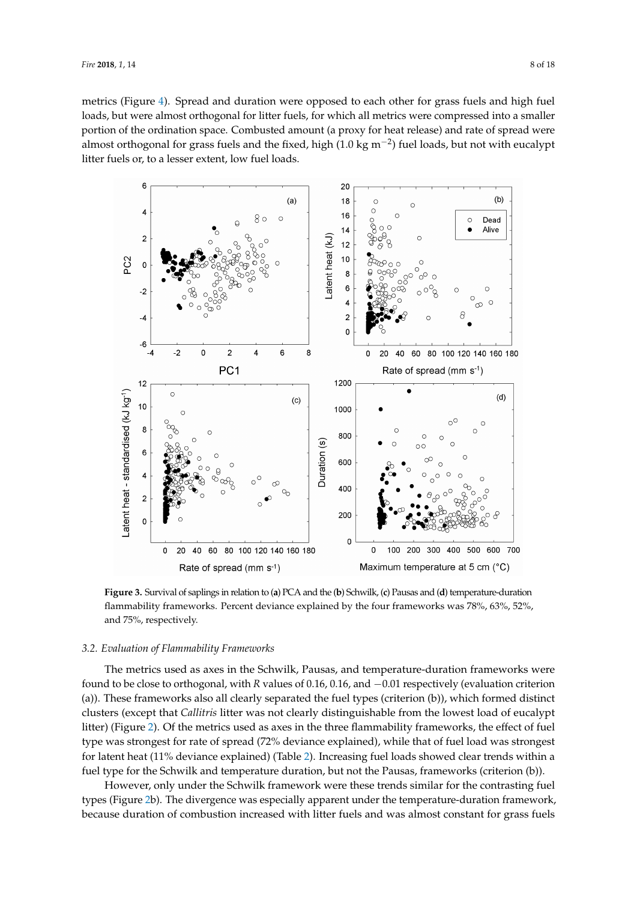metrics (Figure [4\)](#page-8-0). Spread and duration were opposed to each other for grass fuels and high fuel loads, but were almost orthogonal for litter fuels, for which all metrics were compressed into a smaller portion of the ordination space. Combusted amount (a proxy for heat release) and rate of spread were almost orthogonal for grass fuels and the fixed, high (1.0 kg m−<sup>2</sup> ) fuel loads, but not with eucalypt almost orthogonal for grass fuels and the fixed, high (1.0 kg m−2) fuel loads, but not with eucalypt litter fuels or, to a lesser extent, low fuel loads. litter fuels or, to a lesser extent, low fuel loads. metrics (Figure 4). Spread and duration were opposed to each other for grass fuels and high fuel

<span id="page-7-0"></span>

flammability frameworks. Percent deviance explained by the four frameworks was 78%, 63%, 52%, and 75%, respectively.  $P$ **Figure 3.** Survival of saplings in relation to (**a**) PCA and the (**b**) Schwilk, (**c**) Pausas and (**d**) temperature-duration

#### *3.2. Evaluation of Flammability Frameworks*

*3.2. Evaluation of Flammability Frameworks*  found to be close to orthogonal, with *R* values of 0.16, 0.16, and −0.01 respectively (evaluation criterion (a)). These frameworks also all clearly separated the fuel types (criterion (b)), which formed distinct clusters (except that *Callitris* litter was not clearly distinguishable from the lowest load of eucalypt litter) (Figure [2\)](#page-6-0). Of the metrics used as axes in the three flammability frameworks, the effect of fuel type was strongest for rate of spread (72% deviance explained), while that of fuel load was strongest for latent heat (11% deviance explained) (Table [2\)](#page-9-0). Increasing fuel loads showed clear trends within a fuel type for the Schwilk and temperature duration, but not the Pausas, frameworks (criterion (b)). The metrics used as axes in the Schwilk, Pausas, and temperature-duration frameworks were

However, only under the Schwilk framework were these trends similar for the contrasting fuel types (Figure [2b](#page-6-0)). The divergence was especially apparent under the temperature-duration framework, because duration of combustion increased with litter fuels and was almost constant for grass fuels types (Figure 2b). The divergence was especially approximately approximately approximately approximately approximately approximately approximately approximately approximately approximately approximately approximately appr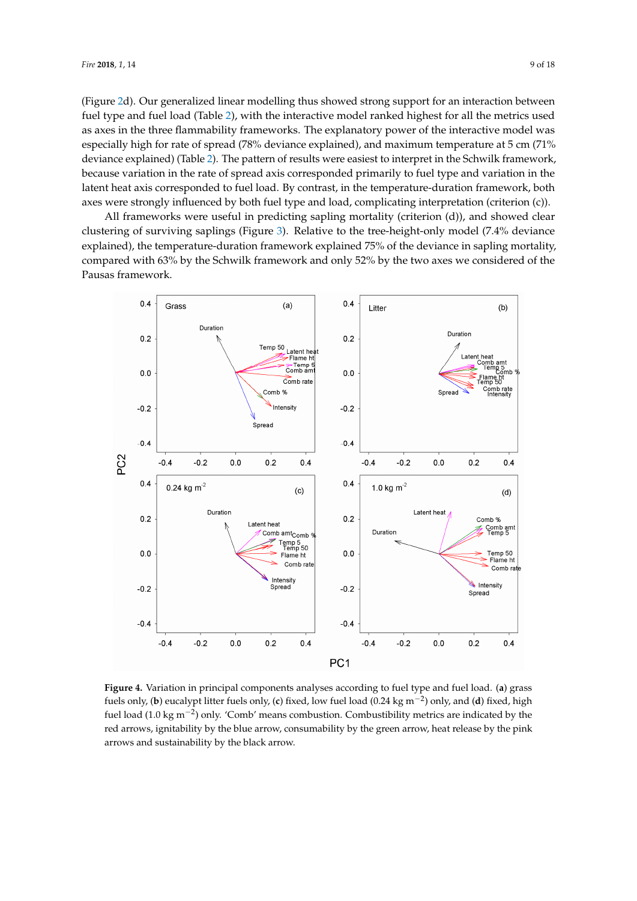(Figure 2d). Our generalized linear modelling thus showed strong support for an intera[ct](#page-6-0)ion between fuel type and fuel load (Table 2), with the [in](#page-9-0)teractive model ranked highest for all the metrics used as axes in the three flammability frameworks. The explanatory power of the interactive model was especially high for rate of spread (78% deviance explained), and maximum temperature at 5 cm (71% deviance explained) (Table 2). The pattern of results were easiest to interpret in the Schwil[k f](#page-9-0)ramework, because variation in the rate of spread axis corresponded primarily to fuel type and variation in the latent heat axis corresponded to fuel load. By contrast, in the temperature-duration framework, both axes were strongly influenced by both fuel type and load, complicating interpretation (criterion (c)).

All frameworks were useful in predicting sapling mortality (criterion (d)), and showed clear All frameworks were useful in predicting sapling mortality (criterion (d)), and showed clear clustering of surviving saplings (Figure 3). Relative to the tree-height-only model (7.4% deviance clustering of surviving saplings (Figur[e](#page-7-0) 3). Relative to the tree-height-only model (7.4% deviance explained), the temperature-duration framework explained 75% of the deviance in sapling mortality, explained), the temperature-duration framework explained 75% of the deviance in sapling mortality, compared with 63% by the Schwilk framework and only 52% by the two axes we considered of the compared with 63% by the Schwilk framework and only 52% by the two axes we considered of the Pausas framework. Pausas framework.

<span id="page-8-0"></span>

fuels only, (b) eucalypt litter fuels only, (c) fixed, low fuel load (0.24 kg m<sup>-2</sup>) only, and (d) fixed, high fuel load  $(1.0 \text{ kg m}^{-2})$  only. 'Comb' means combustion. Combustibility metrics are indicated by the red arrows, ignitability by the blue arrow, consumability by the green arrow, heat release by the pink arrows and sustainability by the black arrow. **Figure 4.** Variation in principal components analyses according to fuel type and fuel load. (**a**) grass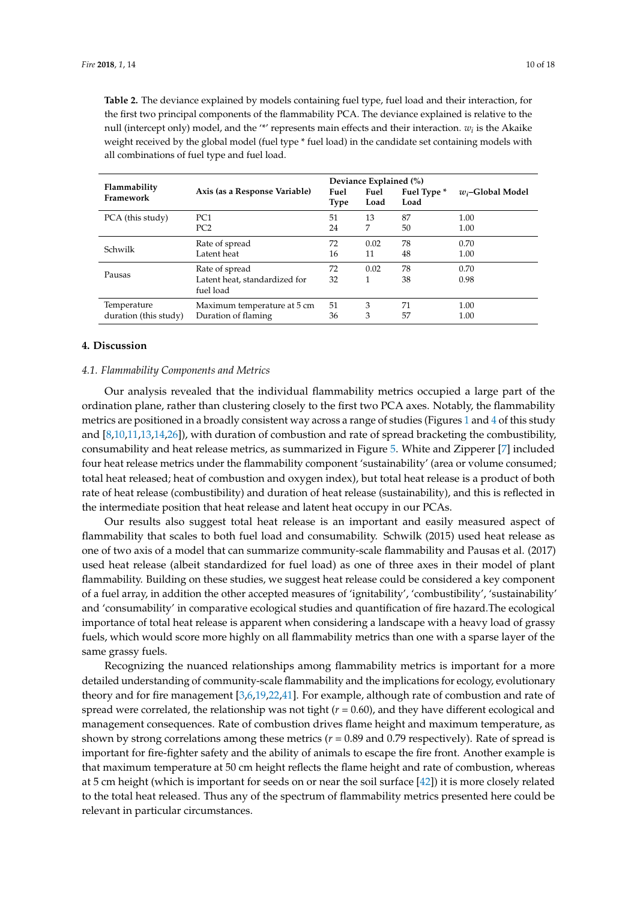<span id="page-9-0"></span>**Table 2.** The deviance explained by models containing fuel type, fuel load and their interaction, for the first two principal components of the flammability PCA. The deviance explained is relative to the null (intercept only) model, and the '\*' represents main effects and their interaction.  $w_i$  is the Akaike weight received by the global model (fuel type \* fuel load) in the candidate set containing models with all combinations of fuel type and fuel load.

|                           |                                            | Deviance Explained (%) |              |                     |                     |  |  |
|---------------------------|--------------------------------------------|------------------------|--------------|---------------------|---------------------|--|--|
| Flammability<br>Framework | Axis (as a Response Variable)              | Fuel<br>Type           | Fuel<br>Load | Fuel Type *<br>Load | $w_i$ -Global Model |  |  |
| PCA (this study)          | PC <sub>1</sub>                            | 51                     | 13           | 87                  | 1.00                |  |  |
|                           | PC <sub>2</sub>                            | 24                     | 7            | 50                  | 1.00                |  |  |
| Schwilk                   | Rate of spread                             | 72                     | 0.02         | 78                  | 0.70                |  |  |
|                           | Latent heat                                | 16                     | 11           | 48                  | 1.00                |  |  |
|                           | Rate of spread                             | 72                     | 0.02         | 78                  | 0.70                |  |  |
| Pausas                    | Latent heat, standardized for<br>fuel load | 32                     | 1            | 38                  | 0.98                |  |  |
| Temperature               | Maximum temperature at 5 cm                | 51                     | 3            | 71                  | 1.00                |  |  |
| duration (this study)     | Duration of flaming                        | 36                     | 3            | 57                  | 1.00                |  |  |

## **4. Discussion**

#### *4.1. Flammability Components and Metrics*

Our analysis revealed that the individual flammability metrics occupied a large part of the ordination plane, rather than clustering closely to the first two PCA axes. Notably, the flammability metrics are positioned in a broadly consistent way across a range of studies (Figures [1](#page-5-0) and [4](#page-8-0) of this study and [\[8,](#page-15-6)[10,](#page-15-8)[11,](#page-15-9)[13,](#page-15-12)[14,](#page-15-13)[26\]](#page-16-10)), with duration of combustion and rate of spread bracketing the combustibility, consumability and heat release metrics, as summarized in Figure [5.](#page-10-0) White and Zipperer [\[7\]](#page-15-5) included four heat release metrics under the flammability component 'sustainability' (area or volume consumed; total heat released; heat of combustion and oxygen index), but total heat release is a product of both rate of heat release (combustibility) and duration of heat release (sustainability), and this is reflected in the intermediate position that heat release and latent heat occupy in our PCAs.

Our results also suggest total heat release is an important and easily measured aspect of flammability that scales to both fuel load and consumability. Schwilk (2015) used heat release as one of two axis of a model that can summarize community-scale flammability and Pausas et al. (2017) used heat release (albeit standardized for fuel load) as one of three axes in their model of plant flammability. Building on these studies, we suggest heat release could be considered a key component of a fuel array, in addition the other accepted measures of 'ignitability', 'combustibility', 'sustainability' and 'consumability' in comparative ecological studies and quantification of fire hazard.The ecological importance of total heat release is apparent when considering a landscape with a heavy load of grassy fuels, which would score more highly on all flammability metrics than one with a sparse layer of the same grassy fuels.

Recognizing the nuanced relationships among flammability metrics is important for a more detailed understanding of community-scale flammability and the implications for ecology, evolutionary theory and for fire management [\[3,](#page-15-2)[6,](#page-15-10)[19,](#page-16-2)[22,](#page-16-6)[41\]](#page-17-3). For example, although rate of combustion and rate of spread were correlated, the relationship was not tight  $(r = 0.60)$ , and they have different ecological and management consequences. Rate of combustion drives flame height and maximum temperature, as shown by strong correlations among these metrics (*r* = 0.89 and 0.79 respectively). Rate of spread is important for fire-fighter safety and the ability of animals to escape the fire front. Another example is that maximum temperature at 50 cm height reflects the flame height and rate of combustion, whereas at 5 cm height (which is important for seeds on or near the soil surface [\[42\]](#page-17-4)) it is more closely related to the total heat released. Thus any of the spectrum of flammability metrics presented here could be relevant in particular circumstances.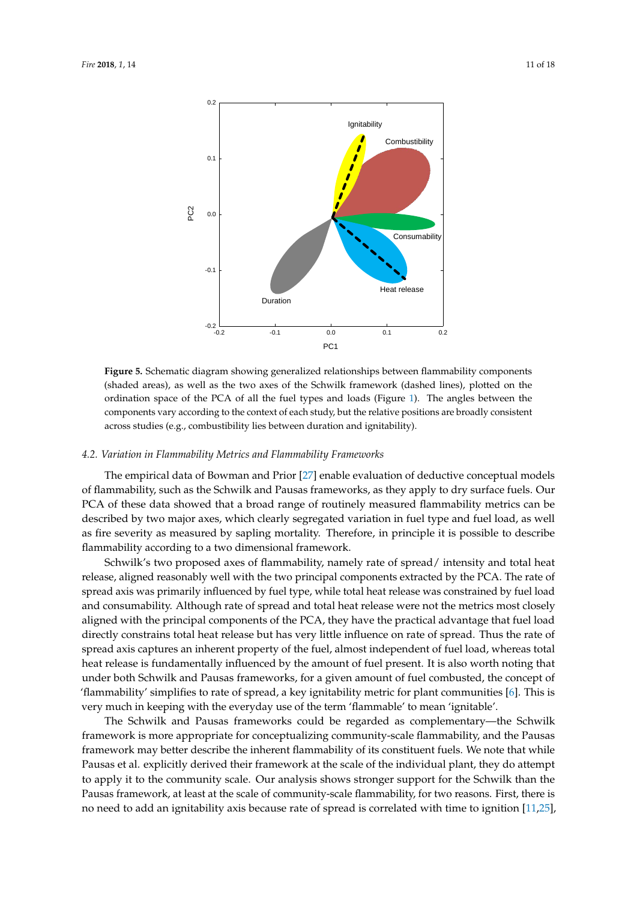<span id="page-10-0"></span>

**Figure 5.** Schematic diagram showing generalized relationships between flammability components (shaded areas), as well as the two axes of the Schwilk framework (dashed lines), plotted on the ordination space of the PCA of all the fuel types and loads (Figure [1\)](#page-5-0). The angles between the components vary according to the context of each study, but the relative positions are broadly consistent across studies (e.g., combustibility lies between duration and ignitability).

#### *4.2. Variation in Flammability Metrics and Flammability Frameworks*

The empirical data of Bowman and Prior [\[27\]](#page-16-11) enable evaluation of deductive conceptual models of flammability, such as the Schwilk and Pausas frameworks, as they apply to dry surface fuels. Our PCA of these data showed that a broad range of routinely measured flammability metrics can be described by two major axes, which clearly segregated variation in fuel type and fuel load, as well as fire severity as measured by sapling mortality. Therefore, in principle it is possible to describe flammability according to a two dimensional framework.

Schwilk's two proposed axes of flammability, namely rate of spread/ intensity and total heat release, aligned reasonably well with the two principal components extracted by the PCA. The rate of spread axis was primarily influenced by fuel type, while total heat release was constrained by fuel load and consumability. Although rate of spread and total heat release were not the metrics most closely aligned with the principal components of the PCA, they have the practical advantage that fuel load directly constrains total heat release but has very little influence on rate of spread. Thus the rate of spread axis captures an inherent property of the fuel, almost independent of fuel load, whereas total heat release is fundamentally influenced by the amount of fuel present. It is also worth noting that under both Schwilk and Pausas frameworks, for a given amount of fuel combusted, the concept of 'flammability' simplifies to rate of spread, a key ignitability metric for plant communities [\[6\]](#page-15-10). This is very much in keeping with the everyday use of the term 'flammable' to mean 'ignitable'.

The Schwilk and Pausas frameworks could be regarded as complementary—the Schwilk framework is more appropriate for conceptualizing community-scale flammability, and the Pausas framework may better describe the inherent flammability of its constituent fuels. We note that while Pausas et al. explicitly derived their framework at the scale of the individual plant, they do attempt to apply it to the community scale. Our analysis shows stronger support for the Schwilk than the Pausas framework, at least at the scale of community-scale flammability, for two reasons. First, there is no need to add an ignitability axis because rate of spread is correlated with time to ignition [\[11,](#page-15-9)[25\]](#page-16-9),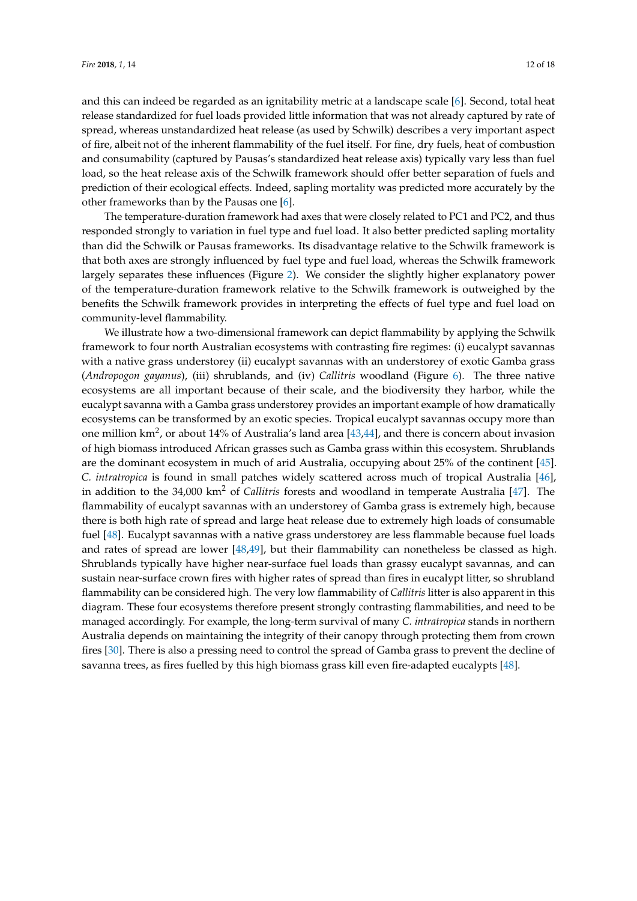and this can indeed be regarded as an ignitability metric at a landscape scale [\[6\]](#page-15-10). Second, total heat release standardized for fuel loads provided little information that was not already captured by rate of spread, whereas unstandardized heat release (as used by Schwilk) describes a very important aspect of fire, albeit not of the inherent flammability of the fuel itself. For fine, dry fuels, heat of combustion and consumability (captured by Pausas's standardized heat release axis) typically vary less than fuel load, so the heat release axis of the Schwilk framework should offer better separation of fuels and prediction of their ecological effects. Indeed, sapling mortality was predicted more accurately by the other frameworks than by the Pausas one [\[6\]](#page-15-10).

The temperature-duration framework had axes that were closely related to PC1 and PC2, and thus responded strongly to variation in fuel type and fuel load. It also better predicted sapling mortality than did the Schwilk or Pausas frameworks. Its disadvantage relative to the Schwilk framework is that both axes are strongly influenced by fuel type and fuel load, whereas the Schwilk framework largely separates these influences (Figure [2\)](#page-6-0). We consider the slightly higher explanatory power of the temperature-duration framework relative to the Schwilk framework is outweighed by the benefits the Schwilk framework provides in interpreting the effects of fuel type and fuel load on community-level flammability.

We illustrate how a two-dimensional framework can depict flammability by applying the Schwilk framework to four north Australian ecosystems with contrasting fire regimes: (i) eucalypt savannas with a native grass understorey (ii) eucalypt savannas with an understorey of exotic Gamba grass (*Andropogon gayanus*), (iii) shrublands, and (iv) *Callitris* woodland (Figure [6\)](#page-12-0). The three native ecosystems are all important because of their scale, and the biodiversity they harbor, while the eucalypt savanna with a Gamba grass understorey provides an important example of how dramatically ecosystems can be transformed by an exotic species. Tropical eucalypt savannas occupy more than one million km<sup>2</sup>, or about 14% of Australia's land area [\[43,](#page-17-5)[44\]](#page-17-6), and there is concern about invasion of high biomass introduced African grasses such as Gamba grass within this ecosystem. Shrublands are the dominant ecosystem in much of arid Australia, occupying about 25% of the continent [\[45\]](#page-17-7). *C. intratropica* is found in small patches widely scattered across much of tropical Australia [\[46\]](#page-17-8), in addition to the 34,000 km<sup>2</sup> of *Callitris* forests and woodland in temperate Australia [\[47\]](#page-17-9). The flammability of eucalypt savannas with an understorey of Gamba grass is extremely high, because there is both high rate of spread and large heat release due to extremely high loads of consumable fuel [\[48\]](#page-17-10). Eucalypt savannas with a native grass understorey are less flammable because fuel loads and rates of spread are lower [\[48](#page-17-10)[,49\]](#page-17-11), but their flammability can nonetheless be classed as high. Shrublands typically have higher near-surface fuel loads than grassy eucalypt savannas, and can sustain near-surface crown fires with higher rates of spread than fires in eucalypt litter, so shrubland flammability can be considered high. The very low flammability of *Callitris* litter is also apparent in this diagram. These four ecosystems therefore present strongly contrasting flammabilities, and need to be managed accordingly. For example, the long-term survival of many *C. intratropica* stands in northern Australia depends on maintaining the integrity of their canopy through protecting them from crown fires [\[30\]](#page-16-19). There is also a pressing need to control the spread of Gamba grass to prevent the decline of savanna trees, as fires fuelled by this high biomass grass kill even fire-adapted eucalypts [\[48\]](#page-17-10).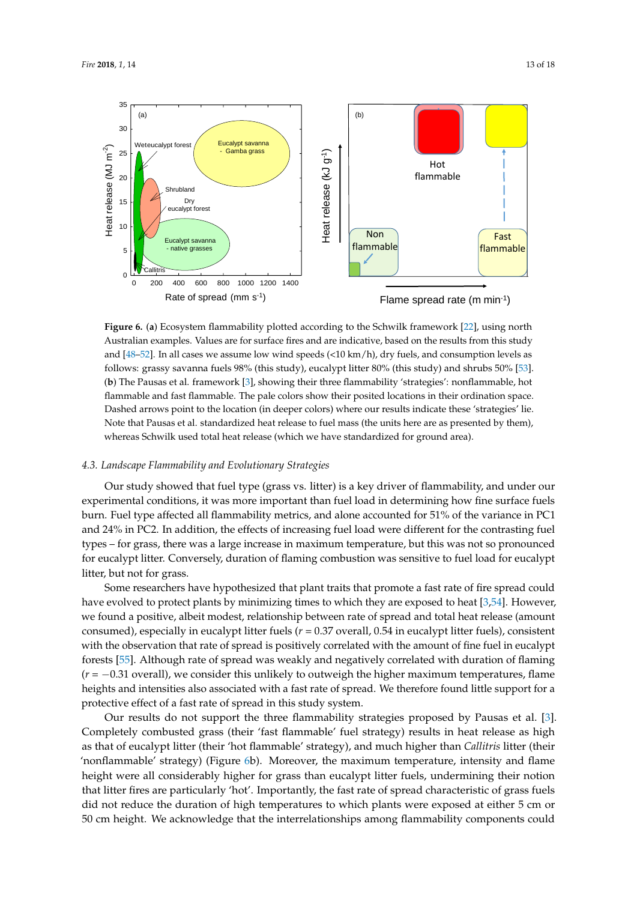<span id="page-12-0"></span>

**Figure 6.** (**a**) Ecosystem flammability plotted according to the Schwilk framework [\[22\]](#page-16-6), using north Australian examples. Values are for surface fires and are indicative, based on the results from this study and  $[48–52]$  $[48–52]$ . In all cases we assume low wind speeds  $(210 \text{ km/h})$ , dry fuels, and consumption levels as follows: grassy savanna fuels 98% (this study), eucalypt litter 80% (this study) and shrubs 50% [\[53\]](#page-17-13). (**b**) The Pausas et al. framework [\[3\]](#page-15-2), showing their three flammability 'strategies': nonflammable, hot flammable and fast flammable. The pale colors show their posited locations in their ordination space. Dashed arrows point to the location (in deeper colors) where our results indicate these 'strategies' lie. Note that Pausas et al. standardized heat release to fuel mass (the units here are as presented by them), whereas Schwilk used total heat release (which we have standardized for ground area).

#### *4.3. Landscape Flammability and Evolutionary Strategies*

Our study showed that fuel type (grass vs. litter) is a key driver of flammability, and under our experimental conditions, it was more important than fuel load in determining how fine surface fuels burn. Fuel type affected all flammability metrics, and alone accounted for 51% of the variance in PC1 and 24% in PC2. In addition, the effects of increasing fuel load were different for the contrasting fuel types – for grass, there was a large increase in maximum temperature, but this was not so pronounced for eucalypt litter. Conversely, duration of flaming combustion was sensitive to fuel load for eucalypt litter, but not for grass.

Some researchers have hypothesized that plant traits that promote a fast rate of fire spread could have evolved to protect plants by minimizing times to which they are exposed to heat [\[3](#page-15-2)[,54\]](#page-17-14). However, we found a positive, albeit modest, relationship between rate of spread and total heat release (amount consumed), especially in eucalypt litter fuels (*r* = 0.37 overall, 0.54 in eucalypt litter fuels), consistent with the observation that rate of spread is positively correlated with the amount of fine fuel in eucalypt forests [\[55\]](#page-17-15). Although rate of spread was weakly and negatively correlated with duration of flaming (*r* = −0.31 overall), we consider this unlikely to outweigh the higher maximum temperatures, flame heights and intensities also associated with a fast rate of spread. We therefore found little support for a protective effect of a fast rate of spread in this study system.

Our results do not support the three flammability strategies proposed by Pausas et al. [\[3\]](#page-15-2). Completely combusted grass (their 'fast flammable' fuel strategy) results in heat release as high as that of eucalypt litter (their 'hot flammable' strategy), and much higher than *Callitris* litter (their 'nonflammable' strategy) (Figure [6b](#page-12-0)). Moreover, the maximum temperature, intensity and flame height were all considerably higher for grass than eucalypt litter fuels, undermining their notion that litter fires are particularly 'hot'. Importantly, the fast rate of spread characteristic of grass fuels did not reduce the duration of high temperatures to which plants were exposed at either 5 cm or 50 cm height. We acknowledge that the interrelationships among flammability components could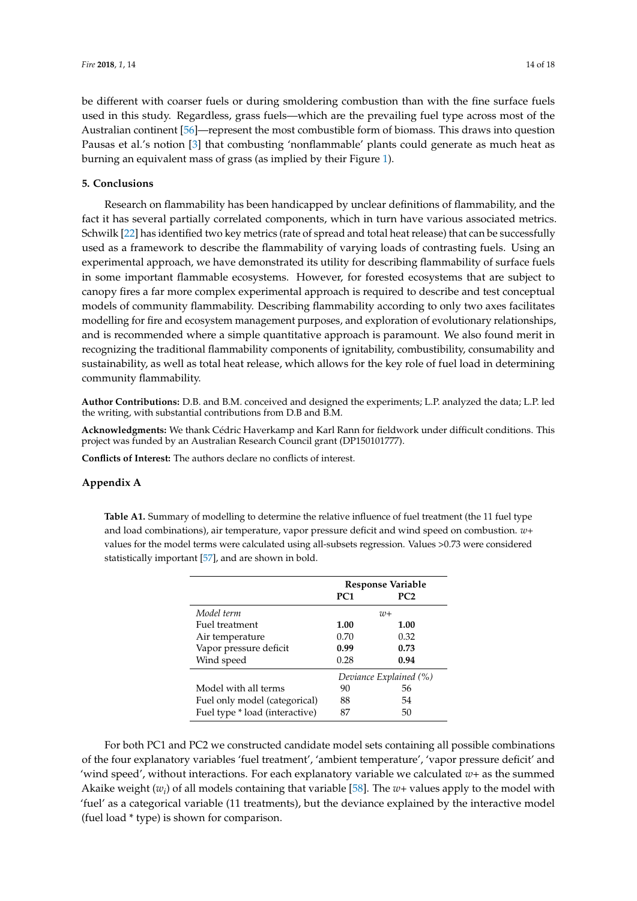be different with coarser fuels or during smoldering combustion than with the fine surface fuels used in this study. Regardless, grass fuels—which are the prevailing fuel type across most of the Australian continent [\[56\]](#page-17-16)—represent the most combustible form of biomass. This draws into question Pausas et al.'s notion [\[3\]](#page-15-2) that combusting 'nonflammable' plants could generate as much heat as burning an equivalent mass of grass (as implied by their Figure [1\)](#page-5-0).

#### **5. Conclusions**

Research on flammability has been handicapped by unclear definitions of flammability, and the fact it has several partially correlated components, which in turn have various associated metrics. Schwilk [\[22\]](#page-16-6) has identified two key metrics (rate of spread and total heat release) that can be successfully used as a framework to describe the flammability of varying loads of contrasting fuels. Using an experimental approach, we have demonstrated its utility for describing flammability of surface fuels in some important flammable ecosystems. However, for forested ecosystems that are subject to canopy fires a far more complex experimental approach is required to describe and test conceptual models of community flammability. Describing flammability according to only two axes facilitates modelling for fire and ecosystem management purposes, and exploration of evolutionary relationships, and is recommended where a simple quantitative approach is paramount. We also found merit in recognizing the traditional flammability components of ignitability, combustibility, consumability and sustainability, as well as total heat release, which allows for the key role of fuel load in determining community flammability.

**Author Contributions:** D.B. and B.M. conceived and designed the experiments; L.P. analyzed the data; L.P. led the writing, with substantial contributions from D.B and B.M.

**Acknowledgments:** We thank Cédric Haverkamp and Karl Rann for fieldwork under difficult conditions. This project was funded by an Australian Research Council grant (DP150101777).

**Conflicts of Interest:** The authors declare no conflicts of interest.

#### <span id="page-13-0"></span>**Appendix A**

**Table A1.** Summary of modelling to determine the relative influence of fuel treatment (the 11 fuel type and load combinations), air temperature, vapor pressure deficit and wind speed on combustion. *w+* values for the model terms were calculated using all-subsets regression. Values >0.73 were considered statistically important [\[57\]](#page-17-17), and are shown in bold.

|                                | Response Variable      |      |  |  |  |
|--------------------------------|------------------------|------|--|--|--|
|                                | PC <sub>1</sub>        | PC2  |  |  |  |
| Model term                     | $uv+$                  |      |  |  |  |
| Fuel treatment                 | 1.00                   | 1.00 |  |  |  |
| Air temperature                | 0.70                   | 0.32 |  |  |  |
| Vapor pressure deficit         | 0.99                   | 0.73 |  |  |  |
| Wind speed                     | 0.28                   | 0.94 |  |  |  |
|                                | Deviance Explained (%) |      |  |  |  |
| Model with all terms           | 90                     | 56   |  |  |  |
| Fuel only model (categorical)  | 88                     | 54   |  |  |  |
| Fuel type * load (interactive) | 87                     | 50   |  |  |  |

For both PC1 and PC2 we constructed candidate model sets containing all possible combinations of the four explanatory variables 'fuel treatment', 'ambient temperature', 'vapor pressure deficit' and 'wind speed', without interactions. For each explanatory variable we calculated *w+* as the summed Akaike weight (*w<sup>i</sup>* ) of all models containing that variable [\[58\]](#page-17-18). The *w+* values apply to the model with 'fuel' as a categorical variable (11 treatments), but the deviance explained by the interactive model (fuel load \* type) is shown for comparison.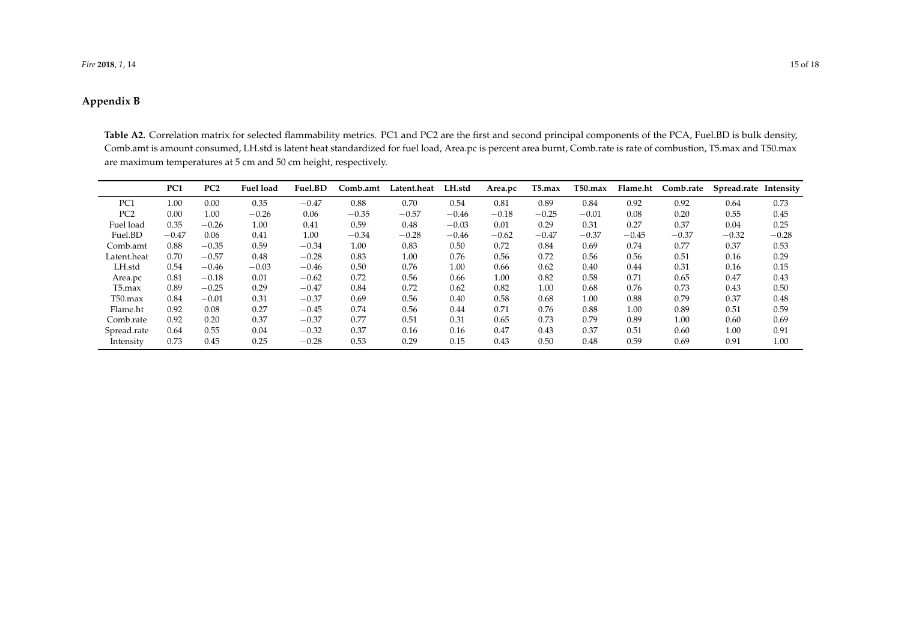#### *Fire* **2018**, *1*, 14 15 of 18

## **Appendix B**

**Table A2.** Correlation matrix for selected flammability metrics. PC1 and PC2 are the first and second principal components of the PCA, Fuel.BD is bulk density, Comb.amt is amount consumed, LH.std is latent heat standardized for fuel load, Area.pc is percent area burnt, Comb.rate is rate of combustion, T5.max and T50.max are maximum temperatures at 5 cm and 50 cm height, respectively.

<span id="page-14-0"></span>

|                 | PC <sub>1</sub> | PC <sub>2</sub> | <b>Fuel load</b> | Fuel.BD | Comb.amt | Latent.heat | LH.std  | Area.pc | T5.max  | $T50$ .max | Flame.ht | Comb.rate | Spread.rate Intensity |         |
|-----------------|-----------------|-----------------|------------------|---------|----------|-------------|---------|---------|---------|------------|----------|-----------|-----------------------|---------|
| PC <sub>1</sub> | 1.00            | 0.00            | 0.35             | $-0.47$ | 0.88     | 0.70        | 0.54    | 0.81    | 0.89    | 0.84       | 0.92     | 0.92      | 0.64                  | 0.73    |
| PC <sub>2</sub> | 0.00            | 1.00            | $-0.26$          | 0.06    | $-0.35$  | $-0.57$     | $-0.46$ | $-0.18$ | $-0.25$ | $-0.01$    | 0.08     | 0.20      | 0.55                  | 0.45    |
| Fuel load       | 0.35            | $-0.26$         | 1.00             | 0.41    | 0.59     | 0.48        | $-0.03$ | 0.01    | 0.29    | 0.31       | 0.27     | 0.37      | 0.04                  | 0.25    |
| Fuel.BD         | $-0.47$         | 0.06            | 0.41             | 1.00    | $-0.34$  | $-0.28$     | $-0.46$ | $-0.62$ | $-0.47$ | $-0.37$    | $-0.45$  | $-0.37$   | $-0.32$               | $-0.28$ |
| Comb.amt        | 0.88            | $-0.35$         | 0.59             | $-0.34$ | 1.00     | 0.83        | 0.50    | 0.72    | 0.84    | 0.69       | 0.74     | 0.77      | 0.37                  | 0.53    |
| Latent.heat     | 0.70            | $-0.57$         | 0.48             | $-0.28$ | 0.83     | 1.00        | 0.76    | 0.56    | 0.72    | 0.56       | 0.56     | 0.51      | 0.16                  | 0.29    |
| LH.std          | 0.54            | $-0.46$         | $-0.03$          | $-0.46$ | 0.50     | 0.76        | 1.00    | 0.66    | 0.62    | 0.40       | 0.44     | 0.31      | 0.16                  | 0.15    |
| Area.pc         | 0.81            | $-0.18$         | 0.01             | $-0.62$ | 0.72     | 0.56        | 0.66    | 1.00    | 0.82    | 0.58       | 0.71     | 0.65      | 0.47                  | 0.43    |
| $T5$ .max       | 0.89            | $-0.25$         | 0.29             | $-0.47$ | 0.84     | 0.72        | 0.62    | 0.82    | 1.00    | 0.68       | 0.76     | 0.73      | 0.43                  | 0.50    |
| $T50$ .max      | 0.84            | $-0.01$         | 0.31             | $-0.37$ | 0.69     | 0.56        | 0.40    | 0.58    | 0.68    | 1.00       | 0.88     | 0.79      | 0.37                  | 0.48    |
| Flame.ht        | 0.92            | 0.08            | 0.27             | $-0.45$ | 0.74     | 0.56        | 0.44    | 0.71    | 0.76    | 0.88       | 1.00     | 0.89      | 0.51                  | 0.59    |
| Comb.rate       | 0.92            | 0.20            | 0.37             | $-0.37$ | 0.77     | 0.51        | 0.31    | 0.65    | 0.73    | 0.79       | 0.89     | 1.00      | 0.60                  | 0.69    |
| Spread.rate     | 0.64            | 0.55            | 0.04             | $-0.32$ | 0.37     | 0.16        | 0.16    | 0.47    | 0.43    | 0.37       | 0.51     | 0.60      | 1.00                  | 0.91    |
| Intensity       | 0.73            | 0.45            | 0.25             | $-0.28$ | 0.53     | 0.29        | 0.15    | 0.43    | 0.50    | 0.48       | 0.59     | 0.69      | 0.91                  | 1.00    |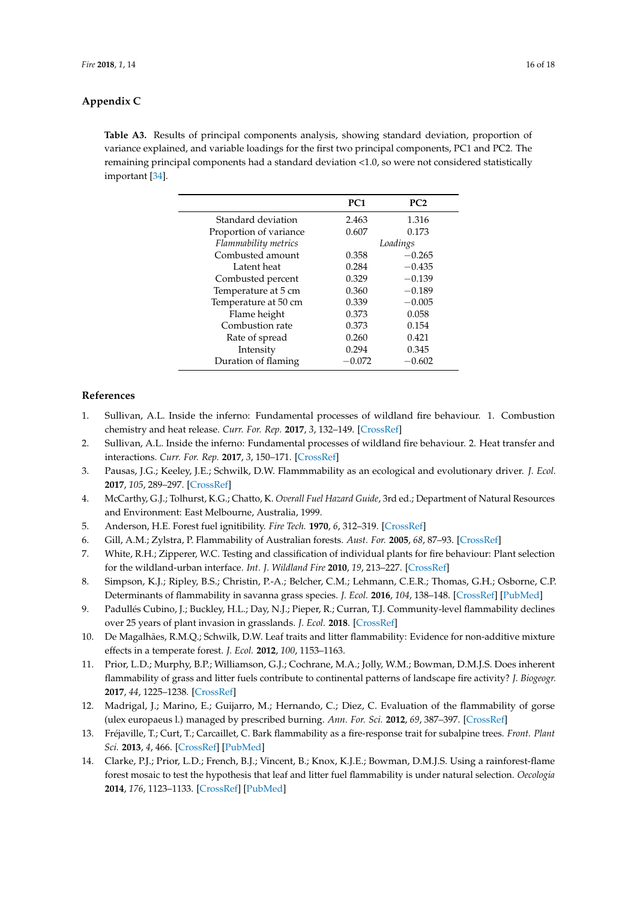## **Appendix C**

<span id="page-15-11"></span>**Table A3.** Results of principal components analysis, showing standard deviation, proportion of variance explained, and variable loadings for the first two principal components, PC1 and PC2. The remaining principal components had a standard deviation <1.0, so were not considered statistically important [\[34\]](#page-16-15).

|                        | PC <sub>1</sub> | PC2      |  |  |
|------------------------|-----------------|----------|--|--|
| Standard deviation     | 2.463           | 1.316    |  |  |
| Proportion of variance | 0.607           | 0.173    |  |  |
| Flammability metrics   | Loadings        |          |  |  |
| Combusted amount       | 0.358           | $-0.265$ |  |  |
| Latent heat            | 0.284           | $-0.435$ |  |  |
| Combusted percent      | 0.329           | $-0.139$ |  |  |
| Temperature at 5 cm    | 0.360           | $-0.189$ |  |  |
| Temperature at 50 cm   | 0.339           | $-0.005$ |  |  |
| Flame height           | 0.373           | 0.058    |  |  |
| Combustion rate        | 0.373           | 0.154    |  |  |
| Rate of spread         | 0.260           | 0.421    |  |  |
| Intensity              | 0.294           | 0.345    |  |  |
| Duration of flaming    | -0.072          | $-0.602$ |  |  |

## **References**

- <span id="page-15-0"></span>1. Sullivan, A.L. Inside the inferno: Fundamental processes of wildland fire behaviour. 1. Combustion chemistry and heat release. *Curr. For. Rep.* **2017**, *3*, 132–149. [\[CrossRef\]](http://dx.doi.org/10.1007/s40725-017-0057-0)
- <span id="page-15-1"></span>2. Sullivan, A.L. Inside the inferno: Fundamental processes of wildland fire behaviour. 2. Heat transfer and interactions. *Curr. For. Rep.* **2017**, *3*, 150–171. [\[CrossRef\]](http://dx.doi.org/10.1007/s40725-017-0058-z)
- <span id="page-15-2"></span>3. Pausas, J.G.; Keeley, J.E.; Schwilk, D.W. Flammmability as an ecological and evolutionary driver. *J. Ecol.* **2017**, *105*, 289–297. [\[CrossRef\]](http://dx.doi.org/10.1111/1365-2745.12691)
- <span id="page-15-3"></span>4. McCarthy, G.J.; Tolhurst, K.G.; Chatto, K. *Overall Fuel Hazard Guide*, 3rd ed.; Department of Natural Resources and Environment: East Melbourne, Australia, 1999.
- <span id="page-15-4"></span>5. Anderson, H.E. Forest fuel ignitibility. *Fire Tech.* **1970**, *6*, 312–319. [\[CrossRef\]](http://dx.doi.org/10.1007/BF02588932)
- <span id="page-15-10"></span>6. Gill, A.M.; Zylstra, P. Flammability of Australian forests. *Aust. For.* **2005**, *68*, 87–93. [\[CrossRef\]](http://dx.doi.org/10.1080/00049158.2005.10674951)
- <span id="page-15-5"></span>7. White, R.H.; Zipperer, W.C. Testing and classification of individual plants for fire behaviour: Plant selection for the wildland-urban interface. *Int. J. Wildland Fire* **2010**, *19*, 213–227. [\[CrossRef\]](http://dx.doi.org/10.1071/WF07128)
- <span id="page-15-6"></span>8. Simpson, K.J.; Ripley, B.S.; Christin, P.-A.; Belcher, C.M.; Lehmann, C.E.R.; Thomas, G.H.; Osborne, C.P. Determinants of flammability in savanna grass species. *J. Ecol.* **2016**, *104*, 138–148. [\[CrossRef\]](http://dx.doi.org/10.1111/1365-2745.12503) [\[PubMed\]](http://www.ncbi.nlm.nih.gov/pubmed/26877549)
- <span id="page-15-7"></span>9. Padullés Cubino, J.; Buckley, H.L.; Day, N.J.; Pieper, R.; Curran, T.J. Community-level flammability declines over 25 years of plant invasion in grasslands. *J. Ecol.* **2018**. [\[CrossRef\]](http://dx.doi.org/10.1111/1365-2745.12933)
- <span id="page-15-8"></span>10. De Magalhães, R.M.Q.; Schwilk, D.W. Leaf traits and litter flammability: Evidence for non-additive mixture effects in a temperate forest. *J. Ecol.* **2012**, *100*, 1153–1163.
- <span id="page-15-9"></span>11. Prior, L.D.; Murphy, B.P.; Williamson, G.J.; Cochrane, M.A.; Jolly, W.M.; Bowman, D.M.J.S. Does inherent flammability of grass and litter fuels contribute to continental patterns of landscape fire activity? *J. Biogeogr.* **2017**, *44*, 1225–1238. [\[CrossRef\]](http://dx.doi.org/10.1111/jbi.12889)
- 12. Madrigal, J.; Marino, E.; Guijarro, M.; Hernando, C.; Diez, C. Evaluation of the flammability of gorse (ulex europaeus l.) managed by prescribed burning. *Ann. For. Sci.* **2012**, *69*, 387–397. [\[CrossRef\]](http://dx.doi.org/10.1007/s13595-011-0165-0)
- <span id="page-15-12"></span>13. Fréjaville, T.; Curt, T.; Carcaillet, C. Bark flammability as a fire-response trait for subalpine trees. *Front. Plant Sci.* **2013**, *4*, 466. [\[CrossRef\]](http://dx.doi.org/10.3389/fpls.2013.00466) [\[PubMed\]](http://www.ncbi.nlm.nih.gov/pubmed/24324473)
- <span id="page-15-13"></span>14. Clarke, P.J.; Prior, L.D.; French, B.J.; Vincent, B.; Knox, K.J.E.; Bowman, D.M.J.S. Using a rainforest-flame forest mosaic to test the hypothesis that leaf and litter fuel flammability is under natural selection. *Oecologia* **2014**, *176*, 1123–1133. [\[CrossRef\]](http://dx.doi.org/10.1007/s00442-014-3071-y) [\[PubMed\]](http://www.ncbi.nlm.nih.gov/pubmed/25234374)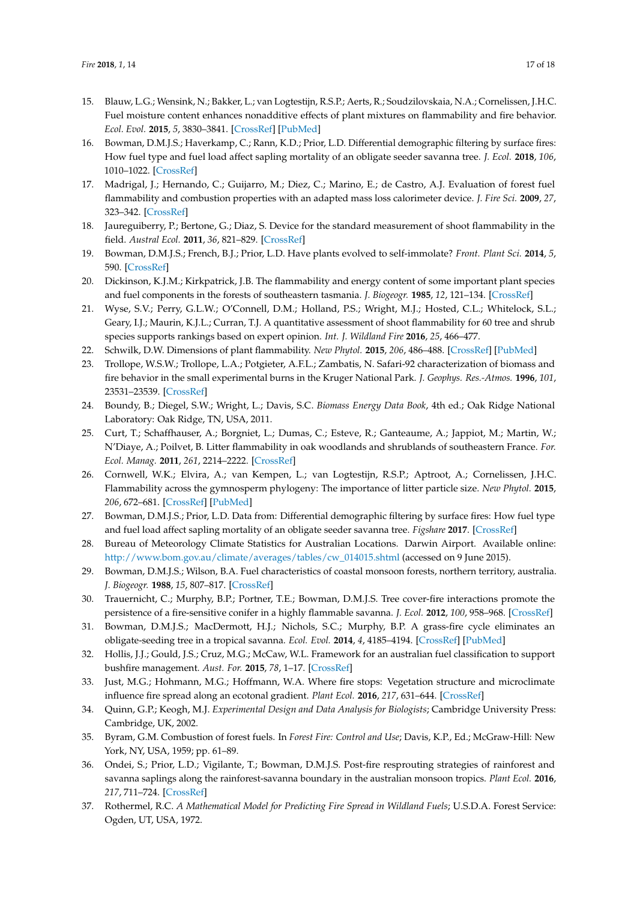- 15. Blauw, L.G.; Wensink, N.; Bakker, L.; van Logtestijn, R.S.P.; Aerts, R.; Soudzilovskaia, N.A.; Cornelissen, J.H.C. Fuel moisture content enhances nonadditive effects of plant mixtures on flammability and fire behavior. *Ecol. Evol.* **2015**, *5*, 3830–3841. [\[CrossRef\]](http://dx.doi.org/10.1002/ece3.1628) [\[PubMed\]](http://www.ncbi.nlm.nih.gov/pubmed/26380709)
- <span id="page-16-0"></span>16. Bowman, D.M.J.S.; Haverkamp, C.; Rann, K.D.; Prior, L.D. Differential demographic filtering by surface fires: How fuel type and fuel load affect sapling mortality of an obligate seeder savanna tree. *J. Ecol.* **2018**, *106*, 1010–1022. [\[CrossRef\]](http://dx.doi.org/10.1111/1365-2745.12819)
- <span id="page-16-1"></span>17. Madrigal, J.; Hernando, C.; Guijarro, M.; Diez, C.; Marino, E.; de Castro, A.J. Evaluation of forest fuel flammability and combustion properties with an adapted mass loss calorimeter device. *J. Fire Sci.* **2009**, *27*, 323–342. [\[CrossRef\]](http://dx.doi.org/10.1177/0734904109102030)
- <span id="page-16-4"></span>18. Jaureguiberry, P.; Bertone, G.; Diaz, S. Device for the standard measurement of shoot flammability in the field. *Austral Ecol.* **2011**, *36*, 821–829. [\[CrossRef\]](http://dx.doi.org/10.1111/j.1442-9993.2010.02222.x)
- <span id="page-16-2"></span>19. Bowman, D.M.J.S.; French, B.J.; Prior, L.D. Have plants evolved to self-immolate? *Front. Plant Sci.* **2014**, *5*, 590. [\[CrossRef\]](http://dx.doi.org/10.3389/fpls.2014.00590)
- <span id="page-16-3"></span>20. Dickinson, K.J.M.; Kirkpatrick, J.B. The flammability and energy content of some important plant species and fuel components in the forests of southeastern tasmania. *J. Biogeogr.* **1985**, *12*, 121–134. [\[CrossRef\]](http://dx.doi.org/10.2307/2844836)
- <span id="page-16-5"></span>21. Wyse, S.V.; Perry, G.L.W.; O'Connell, D.M.; Holland, P.S.; Wright, M.J.; Hosted, C.L.; Whitelock, S.L.; Geary, I.J.; Maurin, K.J.L.; Curran, T.J. A quantitative assessment of shoot flammability for 60 tree and shrub species supports rankings based on expert opinion. *Int. J. Wildland Fire* **2016**, *25*, 466–477.
- <span id="page-16-6"></span>22. Schwilk, D.W. Dimensions of plant flammability. *New Phytol.* **2015**, *206*, 486–488. [\[CrossRef\]](http://dx.doi.org/10.1111/nph.13372) [\[PubMed\]](http://www.ncbi.nlm.nih.gov/pubmed/25800615)
- <span id="page-16-7"></span>23. Trollope, W.S.W.; Trollope, L.A.; Potgieter, A.F.L.; Zambatis, N. Safari-92 characterization of biomass and fire behavior in the small experimental burns in the Kruger National Park. *J. Geophys. Res.-Atmos.* **1996**, *101*, 23531–23539. [\[CrossRef\]](http://dx.doi.org/10.1029/96JD00691)
- <span id="page-16-8"></span>24. Boundy, B.; Diegel, S.W.; Wright, L.; Davis, S.C. *Biomass Energy Data Book*, 4th ed.; Oak Ridge National Laboratory: Oak Ridge, TN, USA, 2011.
- <span id="page-16-9"></span>25. Curt, T.; Schaffhauser, A.; Borgniet, L.; Dumas, C.; Esteve, R.; Ganteaume, A.; Jappiot, M.; Martin, W.; N'Diaye, A.; Poilvet, B. Litter flammability in oak woodlands and shrublands of southeastern France. *For. Ecol. Manag.* **2011**, *261*, 2214–2222. [\[CrossRef\]](http://dx.doi.org/10.1016/j.foreco.2010.12.002)
- <span id="page-16-10"></span>26. Cornwell, W.K.; Elvira, A.; van Kempen, L.; van Logtestijn, R.S.P.; Aptroot, A.; Cornelissen, J.H.C. Flammability across the gymnosperm phylogeny: The importance of litter particle size. *New Phytol.* **2015**, *206*, 672–681. [\[CrossRef\]](http://dx.doi.org/10.1111/nph.13317) [\[PubMed\]](http://www.ncbi.nlm.nih.gov/pubmed/25675853)
- <span id="page-16-11"></span>27. Bowman, D.M.J.S.; Prior, L.D. Data from: Differential demographic filtering by surface fires: How fuel type and fuel load affect sapling mortality of an obligate seeder savanna tree. *Figshare* **2017**. [\[CrossRef\]](http://dx.doi.org/10.6084/m9.Figshare.4903115)
- <span id="page-16-12"></span>28. Bureau of Meteorology Climate Statistics for Australian Locations. Darwin Airport. Available online: [http://www.bom.gov.au/climate/averages/tables/cw\\_014015.shtml](http://www.bom.gov.au/climate/averages/tables/cw_014015.shtml) (accessed on 9 June 2015).
- <span id="page-16-13"></span>29. Bowman, D.M.J.S.; Wilson, B.A. Fuel characteristics of coastal monsoon forests, northern territory, australia. *J. Biogeogr.* **1988**, *15*, 807–817. [\[CrossRef\]](http://dx.doi.org/10.2307/2845341)
- <span id="page-16-19"></span>30. Trauernicht, C.; Murphy, B.P.; Portner, T.E.; Bowman, D.M.J.S. Tree cover-fire interactions promote the persistence of a fire-sensitive conifer in a highly flammable savanna. *J. Ecol.* **2012**, *100*, 958–968. [\[CrossRef\]](http://dx.doi.org/10.1111/j.1365-2745.2012.01970.x)
- 31. Bowman, D.M.J.S.; MacDermott, H.J.; Nichols, S.C.; Murphy, B.P. A grass-fire cycle eliminates an obligate-seeding tree in a tropical savanna. *Ecol. Evol.* **2014**, *4*, 4185–4194. [\[CrossRef\]](http://dx.doi.org/10.1002/ece3.1285) [\[PubMed\]](http://www.ncbi.nlm.nih.gov/pubmed/25505543)
- 32. Hollis, J.J.; Gould, J.S.; Cruz, M.G.; McCaw, W.L. Framework for an australian fuel classification to support bushfire management. *Aust. For.* **2015**, *78*, 1–17. [\[CrossRef\]](http://dx.doi.org/10.1080/00049158.2014.999186)
- <span id="page-16-14"></span>33. Just, M.G.; Hohmann, M.G.; Hoffmann, W.A. Where fire stops: Vegetation structure and microclimate influence fire spread along an ecotonal gradient. *Plant Ecol.* **2016**, *217*, 631–644. [\[CrossRef\]](http://dx.doi.org/10.1007/s11258-015-0545-x)
- <span id="page-16-15"></span>34. Quinn, G.P.; Keogh, M.J. *Experimental Design and Data Analysis for Biologists*; Cambridge University Press: Cambridge, UK, 2002.
- <span id="page-16-16"></span>35. Byram, G.M. Combustion of forest fuels. In *Forest Fire: Control and Use*; Davis, K.P., Ed.; McGraw-Hill: New York, NY, USA, 1959; pp. 61–89.
- <span id="page-16-17"></span>36. Ondei, S.; Prior, L.D.; Vigilante, T.; Bowman, D.M.J.S. Post-fire resprouting strategies of rainforest and savanna saplings along the rainforest-savanna boundary in the australian monsoon tropics. *Plant Ecol.* **2016**, *217*, 711–724. [\[CrossRef\]](http://dx.doi.org/10.1007/s11258-015-0531-3)
- <span id="page-16-18"></span>37. Rothermel, R.C. *A Mathematical Model for Predicting Fire Spread in Wildland Fuels*; U.S.D.A. Forest Service: Ogden, UT, USA, 1972.